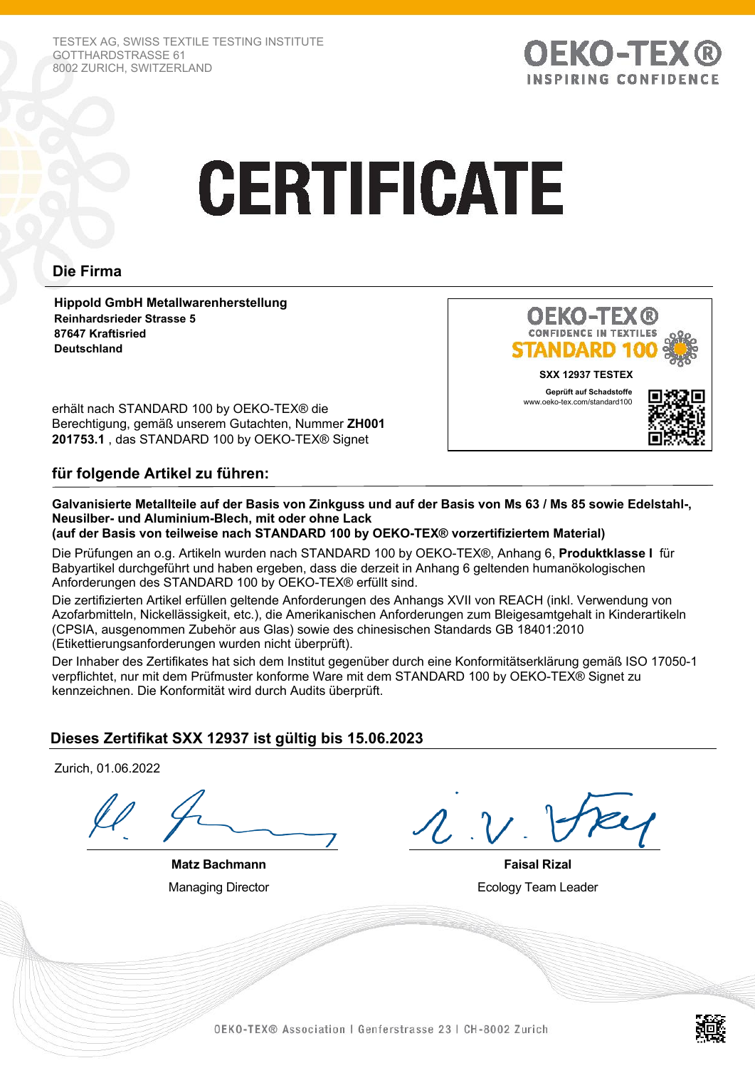TESTEX AG, SWISS TEXTILE TESTING INSTITUTE GOTTHARDSTRASSE 61 8002 ZURICH, SWITZERLAND



# **CERTIFICATE**

## **Die Firma**

**Hippold GmbH Metallwarenherstellung Reinhardsrieder Strasse 5 87647 Kraftisried Deutschland**



erhält nach STANDARD 100 by OEKO-TEX® die Berechtigung, gemäß unserem Gutachten, Nummer **ZH001 201753.1** , das STANDARD 100 by OEKO-TEX® Signet

## **für folgende Artikel zu führen:**

**Galvanisierte Metallteile auf der Basis von Zinkguss und auf der Basis von Ms 63 / Ms 85 sowie Edelstahl-, Neusilber- und Aluminium-Blech, mit oder ohne Lack (auf der Basis von teilweise nach STANDARD 100 by OEKO-TEX® vorzertifiziertem Material)**

Die Prüfungen an o.g. Artikeln wurden nach STANDARD 100 by OEKO-TEX®, Anhang 6, **Produktklasse I** für Babyartikel durchgeführt und haben ergeben, dass die derzeit in Anhang 6 geltenden humanökologischen Anforderungen des STANDARD 100 by OEKO-TEX® erfüllt sind.

Die zertifizierten Artikel erfüllen geltende Anforderungen des Anhangs XVII von REACH (inkl. Verwendung von Azofarbmitteln, Nickellässigkeit, etc.), die Amerikanischen Anforderungen zum Bleigesamtgehalt in Kinderartikeln (CPSIA, ausgenommen Zubehör aus Glas) sowie des chinesischen Standards GB 18401:2010 (Etikettierungsanforderungen wurden nicht überprüft).

Der Inhaber des Zertifikates hat sich dem Institut gegenüber durch eine Konformitätserklärung gemäß ISO 17050-1 verpflichtet, nur mit dem Prüfmuster konforme Ware mit dem STANDARD 100 by OEKO-TEX® Signet zu kennzeichnen. Die Konformität wird durch Audits überprüft.

# **Dieses Zertifikat SXX 12937 ist gültig bis 15.06.2023**

Zurich, 01.06.2022

**Matz Bachmann** Managing Director

**Faisal Rizal** Ecology Team Leader